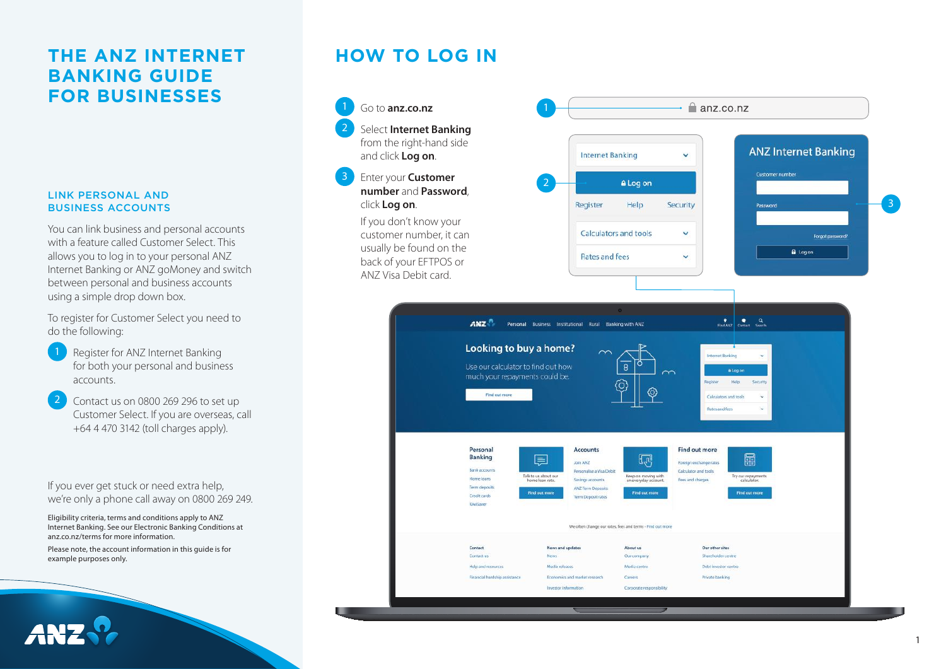### **THE ANZ INTERNET BANKING GUIDE FOR BUSINESSES**

### LINK PERSONAL AND BUSINESS ACCOUNTS

You can link business and personal accounts with a feature called Customer Select. This allows you to log in to your personal ANZ Internet Banking or ANZ goMoney and switch between personal and business accounts using a simple drop down box.

To register for Customer Select you need to do the following:

- Register for ANZ Internet Banking for both your personal and business accounts.
- 2 Contact us on 0800 269 296 to set up Customer Select. If you are overseas, call +64 4 470 3142 (toll charges apply).

If you ever get stuck or need extra help, we're only a phone call away on 0800 269 249.

Eligibility criteria, terms and conditions apply to ANZ Internet Banking. See our Electronic Banking Conditions at anz.co.nz/terms for more information.

Please note, the account information in this guide is for example purposes only.

# **HOW TO LOG IN**

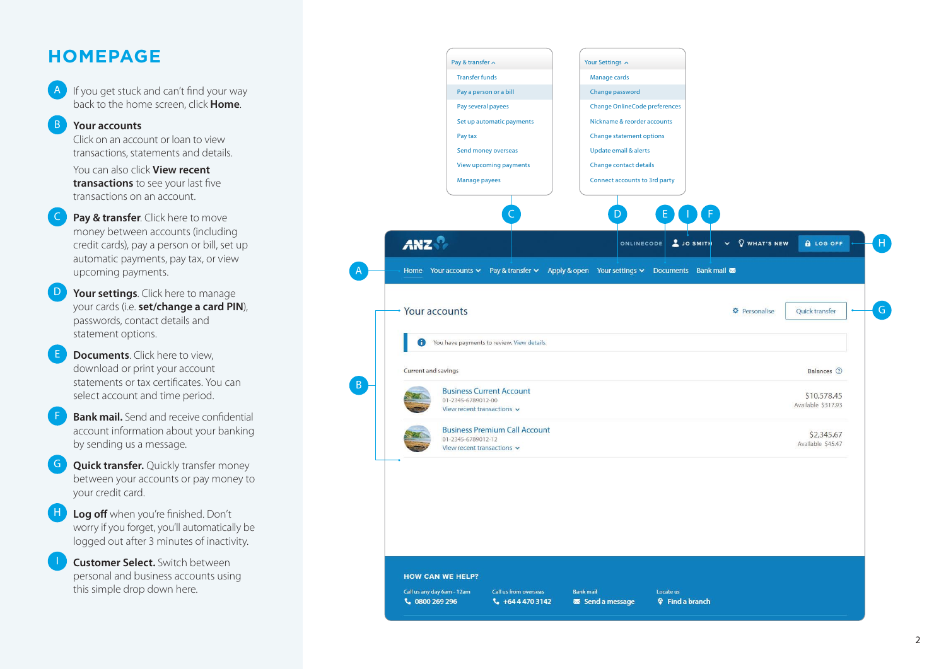## **HOMEPAGE**

If you get stuck and can't find your way back to the home screen, click **Home** .

### B **Your accounts**

Click on an account or loan to view transactions, statements and details.

 You can also click **View recent transactions** to see your last five transactions on an account.

- **Pay & transfer**. Click here to move money between accounts (including credit cards), pay a person or bill, set up automatic payments, pay tax, or view upcoming payments.
- Your settings. Click here to manage your cards (i.e. **set/change a card PIN**), passwords, contact details and statement options.
- **Documents**. Click here to view. download or print your account statements or tax certificates. You can select account and time period.
- **Bank mail.** Send and receive confidential account information about your banking by sending us a message.
- **Quick transfer.** Ouickly transfer money between your accounts or pay money to your credit card.
- Log off when you're finished. Don't worry if you forget, you'll automatically be logged out after 3 minutes of inactivity.
- **Customer Select.** Switch between personal and business accounts using this simple drop down here.

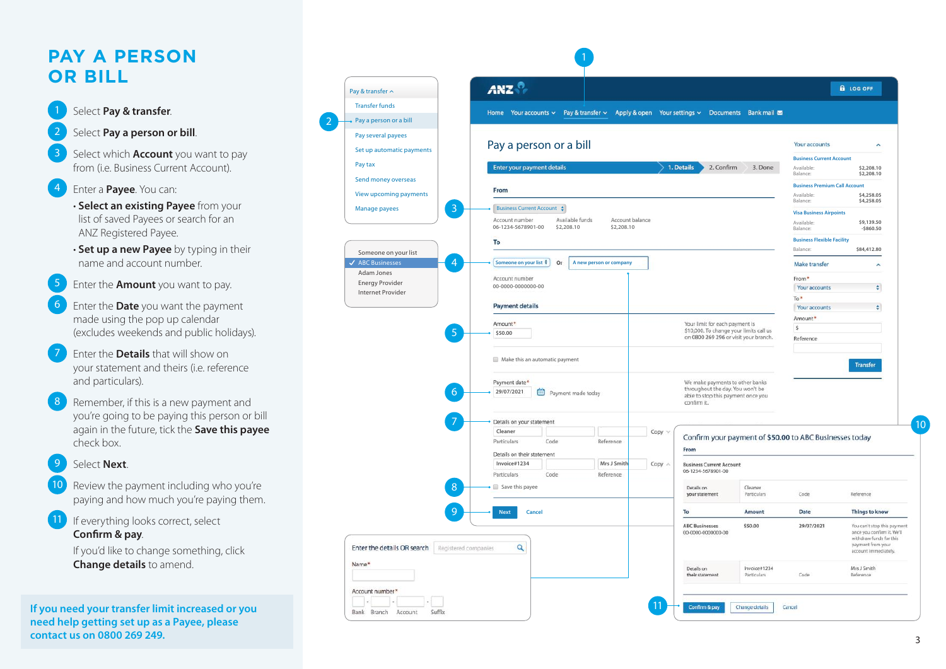## **PAY A PERSON OR BILL**



- Select **Pay a person or bill**.
- 3 Select which **Account** you want to pay from (i.e. Business Current Account).

.

- 4 Enter a **Payee**. You can:
	- **Select an existing Payee** from your list of saved Payees or search for an ANZ Registered Payee.
	- **Set up a new Payee** by typing in their name and account number.
- 5 Enter the **Amount** you want to pay.
- 6 Enter the **Date** you want the payment made using the pop up calendar (excludes weekends and public holidays).
- 7 Enter the **Details** that will show on your statement and theirs (i.e. reference and particulars).
- **contact 200** Select **Pay & transfer**<br>
Select **Pay a person of**<br>
from (i.e. Business Cur<br> **contact in Example 1**<br> **contact an existing F**<br>
list of saved Payees contact and **contact in the Amount** you<br> **contact in the Amoun** Remember, if this is a new payment and you're going to be paying this person or bill again in the future, tick the **Save this payee** check box.

#### 9 Select **Next** .

- Review the payment including who you're paying and how much you're paying them.
- If everything looks correct, select **Confirm & pay** .<br>.

 If you'd like to change something, click **Change details** to amend.

**If you need your transfer limit increased or you need help getting set up as a Payee, please** 

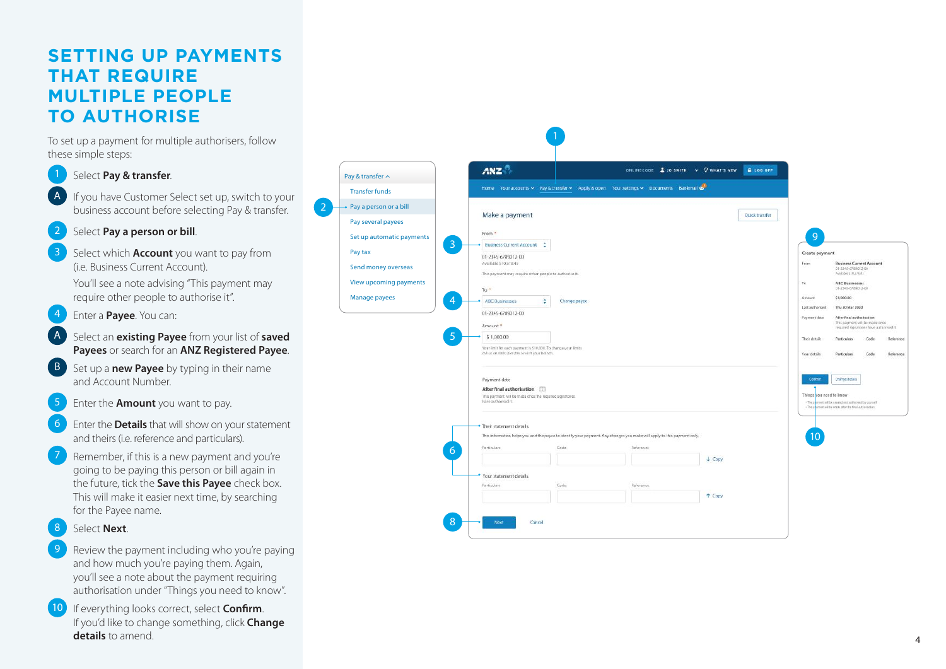## **SETTING UP PAYMENTS THAT REQUIRE MULTIPLE PEOPLE TO AUTHORISE**

To set up a payment for multiple authorisers, follow these simple steps:

- Select **Pay & transfer**.
- If you have Customer Select set up, switch to your business account before selecting Pay & transfer.

2

.

- Select **Pay a person or bill**. .
- 3 Select which **Account** you want to pay from (i.e. Business Current Account).
	- You'll see a note advising "This payment may require other people to authorise it".
- 4 Enter a **Payee**. You can:
- A Select an **existing Payee** from your list of **saved Payees** or search for an **ANZ Registered Payee** .
- Set up a **new Payee** by typing in their name and Account Number.
- 5 Enter the **Amount** you want to pay.
- 6 Enter the **Details** that will show on your statement and theirs (i.e. reference and particulars).
- Remember, if this is a new payment and you're going to be paying this person or bill again in the future, tick the **Save this Payee** check box. This will make it easier next time, by searching for the Payee name.

#### 8 Select **Next** .

- Review the payment including who you're paying and how much you're paying them. Again, you'll see a note about the payment requiring authorisation under "Things you need to know".
- If everything looks correct, select **Confirm**. If you'd like to change something, click **Change details** to amend.

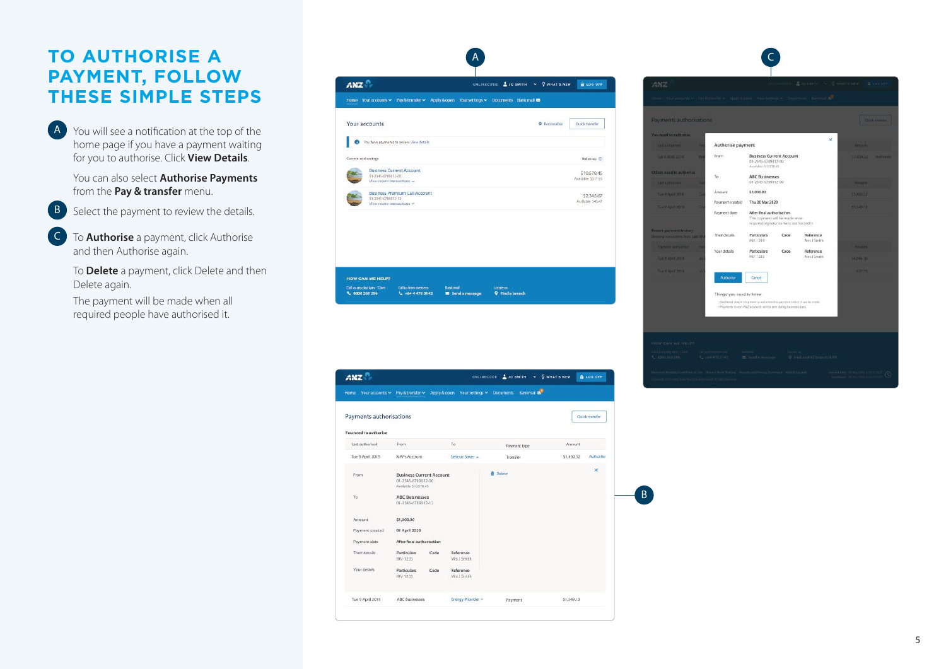## **TO AUTHORISE A PAYMENT, FOLLOW THESE SIMPLE STEPS**

A You will see a notification at the top of the home page if you have a payment waiting for you to authorise. Click **View Details** .

> You can also select **Authorise Payments** from the **Pay & transfer** menu.



B Select the payment to review the details.

C To **Authorise** a payment, click Authorise and then Authorise again.

> To **Delete** a payment, click Delete and then Delete again.

The payment will be made when all required people have authorised it.

| Home Your accounts > Pay & transfer > Apply & open Your settings > Documents Bank mail @ |  |               |                                   |
|------------------------------------------------------------------------------------------|--|---------------|-----------------------------------|
| Your accounts                                                                            |  | O Personalise | Quick transfer                    |
| You have payments to review. View details.<br>ø                                          |  |               |                                   |
| Current and unings                                                                       |  |               | Balances (2)                      |
| <b>Business Current Account</b><br>01-2345-6789012-00<br>View recent transactions        |  |               | \$10,578.45<br>Available \$317.95 |
| <b>Business Premium Call Account</b><br>01-2345-6789012-12<br>View recent transactions w |  |               | \$2,345.67<br>Available 545.47    |
|                                                                                          |  |               |                                   |
|                                                                                          |  |               |                                   |

| Home                                             | Your accounts $\mathord{\times}$ Pay & transfer $\mathord{\times}$            |      |                          | Apply & open Your settings v Documents Bankmail |            |                |
|--------------------------------------------------|-------------------------------------------------------------------------------|------|--------------------------|-------------------------------------------------|------------|----------------|
| Payments authorisations<br>You need to authorise |                                                                               |      |                          |                                                 |            | Quick transfer |
| Last authorised                                  | From                                                                          |      | To.                      | Payment type                                    | Amount     |                |
| Tue 9 April 2019                                 | MAPs Account                                                                  |      | Serious Saver            | Transfer                                        | \$1,450.32 | Authorise      |
| From                                             | <b>Business Current Account</b><br>01-2345-6789012-00<br>Available 510,578.45 |      |                          | <b>ff</b> Delete                                |            | ×              |
| To                                               | <b>ABC Businesses</b><br>01-2345-6789012-12                                   |      |                          |                                                 |            |                |
| Amount                                           | \$1,000.00                                                                    |      |                          |                                                 |            |                |
| Payment created                                  | 01 April 2020                                                                 |      |                          |                                                 |            |                |
| Payment date                                     | After final authorisation                                                     |      |                          |                                                 |            |                |
| Their details                                    | <b>Particulars</b><br>INV-1235                                                | Code | Reference<br>Mrs J Smith |                                                 |            |                |
| Your details.                                    | <b>Particulars</b><br>INV-1235                                                | Code | Reference<br>Mrs J Smith |                                                 |            |                |
|                                                  |                                                                               |      |                          |                                                 | \$1,549.13 |                |

B

| Payments authorisations                                           |                     |                         |                                                                                                         |      |                          |                       |                | <b>Guithmannier</b> |
|-------------------------------------------------------------------|---------------------|-------------------------|---------------------------------------------------------------------------------------------------------|------|--------------------------|-----------------------|----------------|---------------------|
| You need to authorize                                             |                     |                         |                                                                                                         |      |                          | $\boldsymbol{\times}$ |                |                     |
| <b>Last authorized</b>                                            | в                   | Authorise payment       |                                                                                                         |      |                          |                       | <b>KOLMUL</b>  |                     |
| Tim 9 Amid 2018                                                   | w<br>From           |                         | <b>Business Current Account</b><br>01-2345-6789012-00<br>Avvirable 510,578.45                           |      |                          |                       | 11,450.32      | Althouse            |
| Others need to authorize                                          | To:                 |                         | <b>ABC Businesses</b>                                                                                   |      |                          |                       |                |                     |
| <b>Last authorized</b>                                            | ۳                   |                         | 01-2345-6789012-00                                                                                      |      |                          |                       | <b>Ammint</b>  |                     |
| Tue 9 April 2019                                                  | Amount<br>е         |                         | \$1,000.00                                                                                              |      |                          |                       | <b>STANDAR</b> |                     |
| Tue 9 April 2019                                                  | ۰                   | Payment created         | Thu 30 Mar 2020                                                                                         |      |                          |                       | \$1,540,13     |                     |
|                                                                   | Payment date        |                         | After final authorisation<br>This payment will be made once<br>required signatories have authorised it. |      |                          |                       |                |                     |
| <b>Recent payment history</b><br>Showing mixmachines from Law In- | Their details       |                         | Particulars<br>INV-1235                                                                                 | Code | Reference<br>Mrs J Smith |                       |                |                     |
| <b>Payment complained</b>                                         | Per<br>Your details |                         | Particulars                                                                                             | Code | Reference                |                       | <b>Amount</b>  |                     |
| Tue 9 April 2019                                                  | m                   |                         | INV 1235                                                                                                |      | Mrs J Smith              |                       | 54,046,16      |                     |
| Tue V April 2019                                                  | ы                   | Authorise               | Cancel                                                                                                  |      |                          |                       | 557.75         |                     |
|                                                                   |                     | Things you need to know |                                                                                                         |      |                          |                       |                |                     |
|                                                                   |                     |                         | -Additional propio may have to authorize this payment below. I carrier made.                            |      |                          |                       |                |                     |
|                                                                   |                     |                         | - Payments to non-ANZ accounts will be sent during business days.                                       |      |                          |                       |                |                     |
|                                                                   |                     |                         |                                                                                                         |      |                          |                       |                |                     |

**Contract**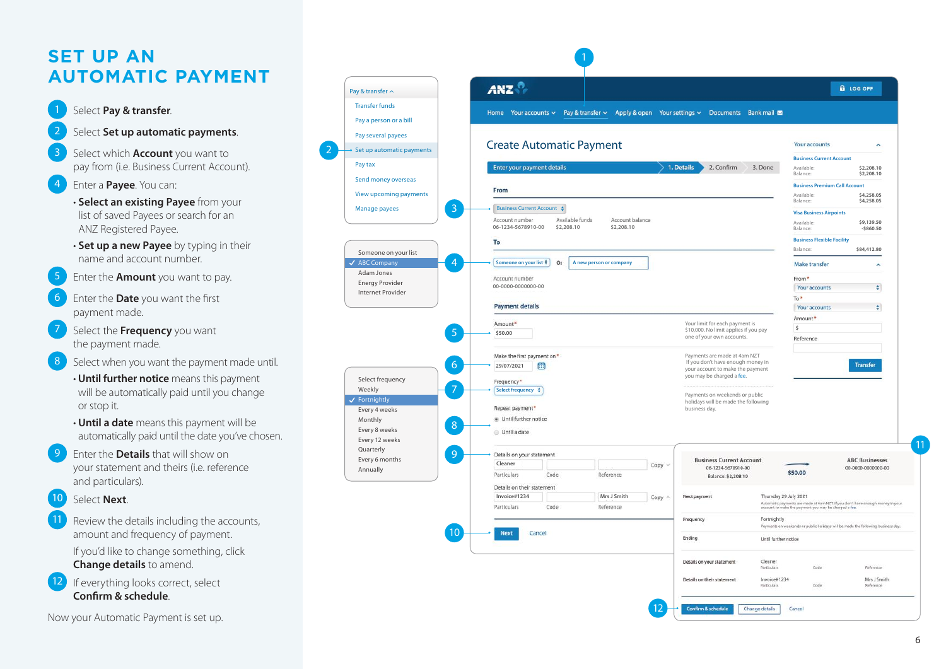## **SET UP AN AUTOMATIC PAYMENT**

### Select **Pay & transfer.**

- Select **Set up automatic payments**.
- 3 Select which **Account** you want to pay from (i.e. Business Current Account).
- 4 Enter a **Payee**. You can:
	- **Select an existing Payee** from your list of saved Payees or search for an ANZ Registered Payee.
	- **Set up a new Payee** by typing in their name and account number.
- 5 Enter the **Amount** you want to pay.
- 6 Enter the **Date** you want the first payment made.
- 7 Select the **Frequency** you want the payment made.
- Select when you want the payment made until.
	- **Until further notice** means this payment will be automatically paid until you change or stop it.
	- **Until a date** means this payment will be automatically paid until the date you've chosen.
- 9 Enter the **Details** that will show on your statement and theirs (i.e. reference and particulars).
- 10 Select **Next**
- Review the details including the accounts, amount and frequency of payment. If you'd like to change something, click **Change details** to amend.
- If everything looks correct, select **Confirm & schedule** .



.

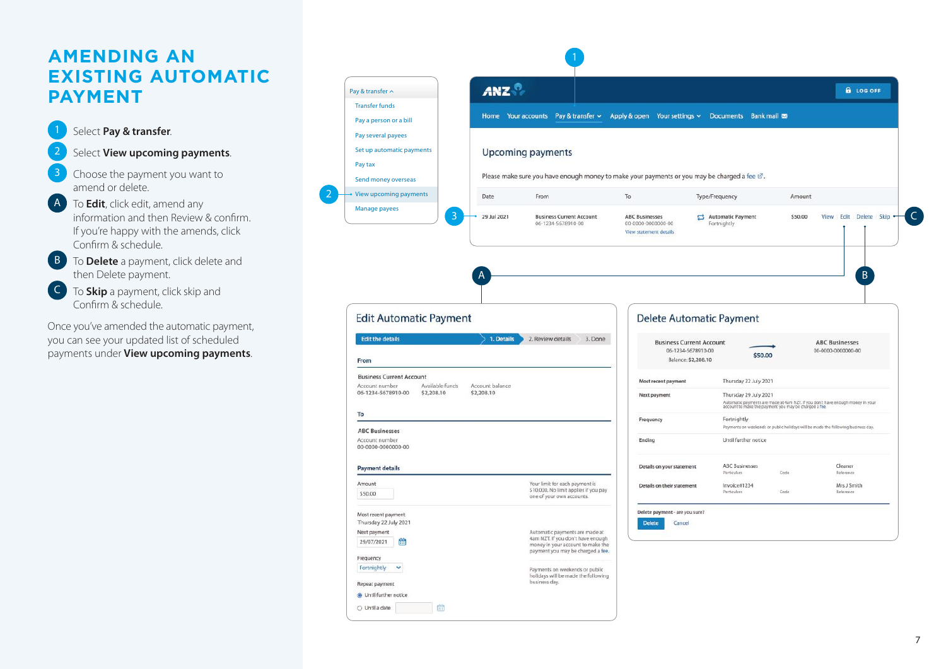## **AMENDING AN EXISTING AUTOMATIC PAYMENT**

.

.

 $\mathcal{L}$ 

1 Select **Pay & transfer**

### Select **View upcoming payments**.

- Choose the payment you want to amend or delete.
- A To **Edit**, click edit, amend any information and then Review & confirm. If you're happy with the amends, click Confirm & schedule.
- **B** To **Delete** a payment, click delete and then Delete payment.
- C To **Skip** a payment, click skip and Confirm & schedule.

Once you've amended the automatic payment, you can see your updated list of scheduled payments under **View upcoming payments** .

| Pay & transfer $\sim$                                                                                                  | <b>ANZ</b>                    |                                                                                                                                               |                                                                              |                                      |         | <b>A</b> LOG OFF                                                                                                                        |
|------------------------------------------------------------------------------------------------------------------------|-------------------------------|-----------------------------------------------------------------------------------------------------------------------------------------------|------------------------------------------------------------------------------|--------------------------------------|---------|-----------------------------------------------------------------------------------------------------------------------------------------|
| <b>Transfer funds</b>                                                                                                  |                               |                                                                                                                                               |                                                                              |                                      |         |                                                                                                                                         |
| Pay a person or a bill                                                                                                 |                               | Home Your accounts Pay & transfer $\sim$                                                                                                      | Apply & open Your settings v Documents Bank mail                             |                                      |         |                                                                                                                                         |
| Pay several payees                                                                                                     |                               |                                                                                                                                               |                                                                              |                                      |         |                                                                                                                                         |
| Set up automatic payments                                                                                              |                               | <b>Upcoming payments</b>                                                                                                                      |                                                                              |                                      |         |                                                                                                                                         |
| Pay tax                                                                                                                |                               |                                                                                                                                               |                                                                              |                                      |         |                                                                                                                                         |
| Send money overseas                                                                                                    |                               | Please make sure you have enough money to make your payments or you may be charged a fee $\mathbb Z$ .                                        |                                                                              |                                      |         |                                                                                                                                         |
| View upcoming payments                                                                                                 | Date                          | From                                                                                                                                          | To                                                                           | Type/Frequency                       | Amount  |                                                                                                                                         |
| Manage payees<br>3                                                                                                     | 29 Jul 2021                   | <b>Business Current Account</b><br>06-1234-5678910-00                                                                                         | <b>ABC Businesses</b><br>00-0000-0000000-00<br>View statement details        | Automatic Payment<br>Fortnightly     | \$50.00 | Edit Delete Skip<br>View                                                                                                                |
|                                                                                                                        |                               |                                                                                                                                               |                                                                              |                                      |         |                                                                                                                                         |
|                                                                                                                        |                               |                                                                                                                                               |                                                                              | <b>Delete Automatic Payment</b>      |         |                                                                                                                                         |
|                                                                                                                        | 1. Details                    | 2. Review details<br>3. Done                                                                                                                  | <b>Business Current Account</b><br>06-1234-5678910-00<br>Balance: \$2,208.10 |                                      | \$50.00 | <b>ABC Businesses</b><br>00-0000-0000000-00                                                                                             |
| <b>Edit Automatic Payment</b><br><b>Edit the details</b><br>From<br><b>Business Current Account</b>                    |                               |                                                                                                                                               | Most recent payment                                                          | Thursday 22 July 2021                |         |                                                                                                                                         |
| Account number<br>Available funds<br>06-1234-5678910-00<br>\$2,208.10                                                  | Account balance<br>\$2,208.10 |                                                                                                                                               | Next payment                                                                 | Thursday 29 July 2021                |         | Automatic payments are made at 4am NZT. If you don't have enough money in your<br>account to make the payment you may be charged a fee. |
| To                                                                                                                     |                               |                                                                                                                                               | Frequency                                                                    | Fortnightly                          |         |                                                                                                                                         |
| <b>ABC Businesses</b><br>Account number<br>00-0000-0000000-00                                                          |                               |                                                                                                                                               | Ending                                                                       | Until further notice                 |         | Payments on weekends or public holidays will be made the following business day.                                                        |
| <b>Payment details</b>                                                                                                 |                               |                                                                                                                                               | Details on your statement                                                    | <b>ABC Businesses</b><br>Particulars | Code    | Cleaner<br>Reference                                                                                                                    |
| Amount<br>\$50.00                                                                                                      |                               | Your limit for each payment is<br>\$10,000. No limit applies if you pay<br>one of your own accounts.                                          | Details on their statement                                                   | Invoice#1234<br>Particulars          | Code    | Mrs J Smith<br>Reference                                                                                                                |
|                                                                                                                        |                               |                                                                                                                                               | Delete payment - are you sure?                                               |                                      |         |                                                                                                                                         |
|                                                                                                                        |                               |                                                                                                                                               | <b>Delete</b><br>Cancel                                                      |                                      |         |                                                                                                                                         |
| Ë                                                                                                                      |                               | Automatic payments are made at<br>4am NZT. If you don't have enough<br>money in your account to make the<br>payment you may be charged a fee. |                                                                              |                                      |         |                                                                                                                                         |
| Most recent payment<br>Thursday 22 July 2021<br>Next payment<br>29/07/2021<br>Frequency<br>Fortnightly<br>$\checkmark$ |                               | Payments on weekends or public                                                                                                                |                                                                              |                                      |         |                                                                                                                                         |